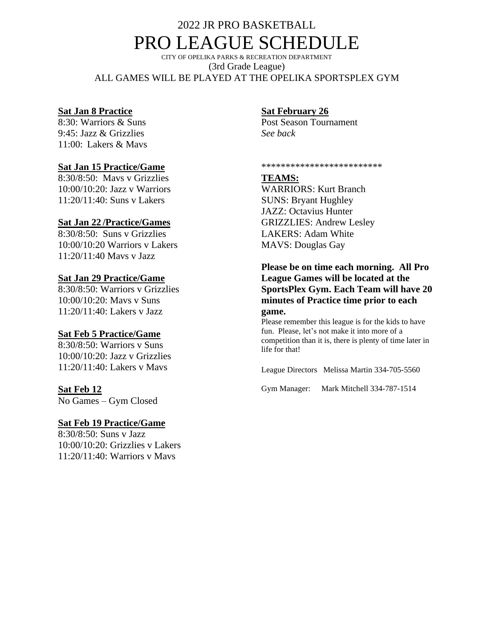## 2022 JR PRO BASKETBALL PRO LEAGUE SCHEDULE

CITY OF OPELIKA PARKS & RECREATION DEPARTMENT (3rd Grade League) ALL GAMES WILL BE PLAYED AT THE OPELIKA SPORTSPLEX GYM

#### **Sat Jan 8 Practice**

8:30: Warriors & Suns 9:45: Jazz & Grizzlies 11:00: Lakers & Mavs

## **Sat Jan 15 Practice/Game**

8:30/8:50: Mavs v Grizzlies 10:00/10:20: Jazz v Warriors 11:20/11:40: Suns v Lakers

### **Sat Jan 22 /Practice/Games**

8:30/8:50: Suns v Grizzlies 10:00/10:20 Warriors v Lakers 11:20/11:40 Mavs v Jazz

### **Sat Jan 29 Practice/Game**

8:30/8:50: Warriors v Grizzlies 10:00/10:20: Mavs v Suns 11:20/11:40: Lakers v Jazz

#### **Sat Feb 5 Practice/Game**

8:30/8:50: Warriors v Suns 10:00/10:20: Jazz v Grizzlies 11:20/11:40: Lakers v Mavs

## **Sat Feb 12**

No Games – Gym Closed

#### **Sat Feb 19 Practice/Game**

8:30/8:50: Suns v Jazz 10:00/10:20: Grizzlies v Lakers 11:20/11:40: Warriors v Mavs

## **Sat February 26**

Post Season Tournament *See back* 

\*\*\*\*\*\*\*\*\*\*\*\*\*\*\*\*\*\*\*\*\*\*\*\*\*

### **TEAMS:**

WARRIORS: Kurt Branch SUNS: Bryant Hughley JAZZ: Octavius Hunter GRIZZLIES: Andrew Lesley LAKERS: Adam White MAVS: Douglas Gay

#### **Please be on time each morning. All Pro League Games will be located at the SportsPlex Gym. Each Team will have 20 minutes of Practice time prior to each game.**

Please remember this league is for the kids to have fun. Please, let's not make it into more of a competition than it is, there is plenty of time later in life for that!

League Directors Melissa Martin 334-705-5560

Gym Manager: Mark Mitchell 334-787-1514